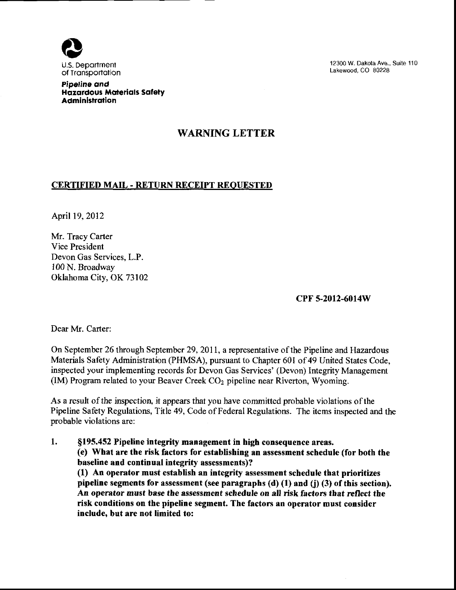

12300 W. Dakota Ave., Suite 110 Lakewood, CO 80228

Pipeline and Hazardous Materials Safety Administration

## WARNING LETTER

## CERTIFIED MAIL - RETURN RECEIPT REOUESTEI)

April 19, 2012

Mr. Tracy Carter Vice President Devon Gas Services, L.P. 100 N. Broadway Oklahoma City, OK 73102

cPF 5-2012-6014W

Dear Mr. Carter:

On September 26 through September 29,2011, a representative ofthe Pipeline and Hazardous Materials Safety Administration (PHMSA), pursuant to Chapter 601 of 49 United States Code, inspected your implementing records for Devon Gas Services' (Devon) Integrity Management (IM) Program related to your Beaver Creek CO<sub>2</sub> pipeline near Riverton, Wyoming.

As a result of the inspection, it appears that you have committed probable violations of the Pipeline Safety Regulations, Title 49, Code of Federal Regulations. The items inspected and the probable violations are:

1. \$f95.452 Pipeline integrity management in high consequence areas, (e) What are the risk factors for establishing an assessment schedule (for both the baseline and continual integrity assessments)? (1) An operator must establish an integrity assessment schedule that prioritizes pipeline segments for assessment (see paragraphs (d) (1) and (j) (3) of this section). An opentor must base the assessment schedule on all risk factors that reflect the risk conditions on the pipeline segment. The factors an operator must consider include. but are not limited to: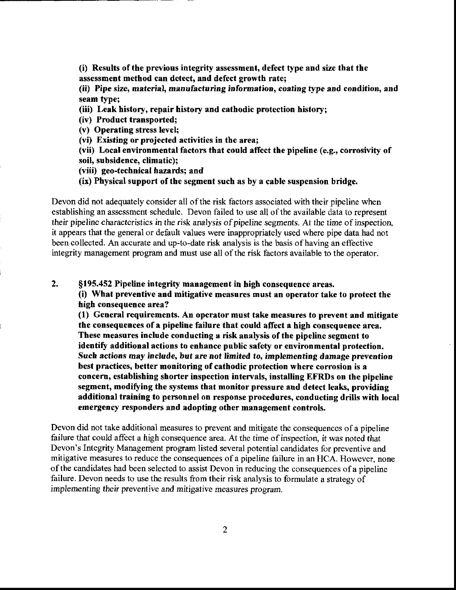(i) Results ofthe previous integrity assessment, defect type and size that the assessment method can detect, and defect growth rate;

(ii) Pipe size, material, manufacturing information, coating type and condition, and seam type;

(iii) Leak history, repair history and cathodic protection history;

(iv) Product transported;

(v) Operating stress level;

(vi) Existing or projected activities in the area;

(vii) Local environmental factors that could affect the pipeline (e,g., corrosivity of soil, subsidence, climatic);

(viii) geo-technical hazards; and

(ix) Physical support of the segment such as by a cable suspension bridge.

Devon did not adequately consider all of the risk factors associated with their pipeline when establishing an assessment schedule. Devon failed to use all of the available data to represent their pipeline characteristics in the risk analysis of pipeline segments. At the time of inspection, it appears that the general or default values were inappropriately used where pipe data had not been collected. An accurate and up-to-date risk analysis is the basis of having an effective integrity management program and must use all of the risk factors available to the operator.

2. \$195.452 Pipeline integrity management in high consequence areas,

(i) What preventive and mitigative measures must an operator take to protect the high consequence area?

(1) General requirements. An operator must take measures to prevent and mitigate the consequences of a pipeline failure that could affect a high consequence area. These measures include conducting a risk analysis of the pipeline segment to identify additional actions to enhance public safety or environmental protection. Such actions may include, but are not limited to, implementing damage prevention best practices, better monitoring of cathodic protection where corrosion is a concern, establishing shorter inspection intervals, installing EFRI)s on the pipeline segment, modifying the systems that monitor pressure and detect leaks, providing additional training to personnel on response procedures, conducting drills with local emergency responders and adopting other management controls.

Devon did not take additional measures to prevent and mitigate the consequences of a pipeline failure that could affect a high consequence area. At the time of inspection, it was noted that Devon's Integrity Management program listed several potential candidates for preventive and mitigative measures to reduce the consequences of a pipeline failure in an HCA. However, none ofthe candidates had been selected to assist Devon in reducing the consequences ofa pipeline failure. Devon needs to use the results from their risk analysis to formulate a strategy of implementing their preventive and mitigative measures program.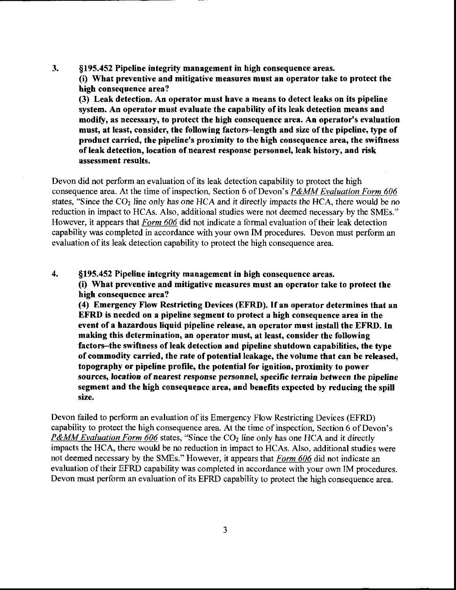3. \$195.452 Pipeline integrity management in high consequence areas. (i) What preventive and mitigative measures must an operator take to protect the high consequence area? (3) Leak detection. An operator must have a means to detect leaks on its pipeline system. An operator must evaluate the capability of its leak detection means and modify, as necessary, to protect the high consequence area. An operator's evaluation must, at least, consider, the following factors-length and size of the pipeline, type of product carried, the pipeline's proximity to the high consequence area, the swiftness of leak detection, location of nearest response personnel, leak history, and risk assessment results,

Devon did not perform an evaluation of its leak detection capability to protect the high consequence area. At the time of inspection, Section 6 of Devon's P&MM Evaluation Form 606 states, "Since the  $CO<sub>2</sub>$  line only has one HCA and it directly impacts the HCA, there would be no reduction in impact to HCAs. Also, additional studies were not deemed necessary by the SMEs." However, it appears that Form 606 did not indicate a formal evaluation of their leak detection capability was completed in accordance with your own IM procedures. Devon must perform an evaluation of its leak detection capability to protect the high consequence area.

4. §195.452 Pipeline integrity management in high consequence areas. (i) What preventive and mitigative measures must an opemtor take to protect the high consequence area? (4) Emergency Flow Restricting Devices (EFRD). If an operator determines that an EFRD is needed on a pipeline segment to protect a high consequence area in the event of a hazardous liquid pipeline release, an operator must install the EFRD. In making this determination, an operator must, at least, consider the following factors–the swiftness of leak detection and pipeline shutdown capabilities, the type of commodity carried, the rate of potential leakage, the volume that can be released, topography or pipeline profile, the potential for ignition, proximity to power sources, location of nearest response personnel, specific terrain between the pipeline segment and the high consequence area, and benefits expected by reducing the spill size.

Devon failed to perform an evaluation of its Emergency Flow Restricting Devices (EFRD) capability to protect the high consequence area. At the time of inspection, Section 6 of Devon's **P&MM Evaluation Form 606** states, "Since the  $CO<sub>2</sub>$  line only has one HCA and it directly impacts the HCA, there would be no reduction in impact to HCAs. Also, additional studies were not deemed necessary by the SMEs." However, it appears that Form 606 did not indicate an evaluation of their EFRD capability was completed in accordance with your own IM procedures. Devon must perform an evaluation of its EFRD capability to protect the high consequence area.